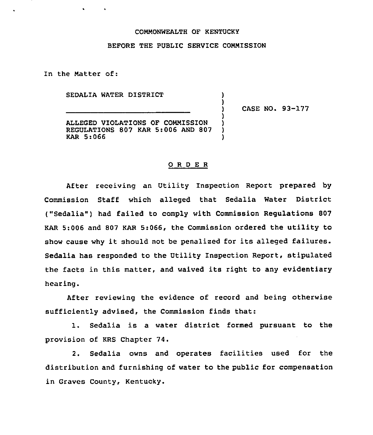## COMMONWEALTH OF KENTUCKY

## BEFORE THE PUBLIC SERVICE CONNISSION

) )<br>)

> ) ) ) )

In the Natter of:

SEDALIA WATER DISTRICT

 $\sim$ 

) CASE NO. 93-177

ALLEGED VIOLATIONS OF CONNISSION REGULATIONS 807 KAR 5:006 AND 807 KAR 5:066

## ORDER

After receiving an Utility Inspection Report prepared by Commission Staff which alleged that Sedalia Water District ("Sedalia") had failed to comply with Commission Regulations 807 KAR 5:006 and 807 KAR 5:066, the Commission ordered the utility to show cause why it should not be penalized for its alleged failures. Sedalia has responded to the Utility Inspection Report, stipulated the facts in this matter, and waived its right to any evidentiary hearing.

After reviewing the evidence of record and being otherwise sufficiently advised, the Commission finds that:

1. Sedalia is <sup>a</sup> water district formed pursuant to the provision of KRS Chapter 74.

2. Sedalia owns and operates facilities used for the distribution and furnishing of water to the public for compensation in Graves County, Kentucky.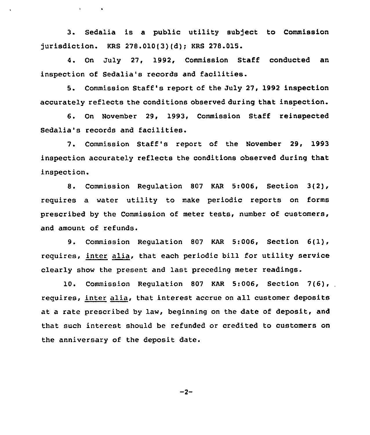3. Sedalia is a public utility subject to Commission jurisdiction. KRS 278.010(3)(d); KRS 278.015.

 $\mathbf{v} = \mathbf{v} \times \mathbf{v}$  .  $\mathbf{v} = \mathbf{v}$ 

4. On July 27, 1992, Commission Staff conducted an inspection of Sedalia's records and facilities.

5. Commission Staff's report of the July 27, 1992 inspection accurately reflects the conditions observed during that inspection.

6. On November 29, 1993, Commission Staff reinspected Sedalia's records and facilities.

7. Commission Staff's report of the November 29, 1993 inspection accurately reflects the conditions observed during that inspection.

8. Commission Regulation 807 KAR 5:006, Section 3(2), requires a water utility to make periodic reports on forms prescribed by the Commission of meter tests, number of customers, and amount of refunds.

9. Commission Regulation <sup>807</sup> KAR 5:006, Section 6(1), requires, inter alia, that each periodic bill for utility service clearly show the present and last preceding meter readings.

10. Commission Regulation <sup>807</sup> KAR 5:006, Section 7(6), requires, inter alia, that interest accrue on all customer deposits at a rate prescribed by law, beginning on the date of deposit, and that such interest should be refunded or credited to customers on the anniversary of the deposit date.

 $-2-$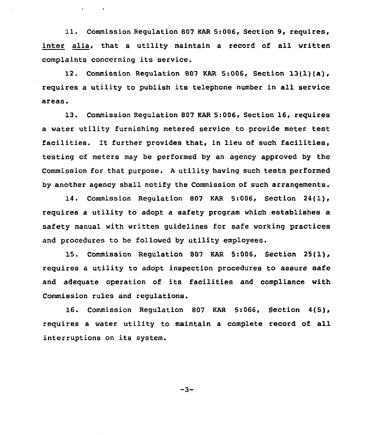11. Commission Regulation <sup>807</sup> KAR 5:006, Section 9, requires, inter alia, that a utility maintain a record of all written complaints concerning its service.

 $\mathbf{v} = \mathbf{v} \times \mathbf{v}$ 

12. Commission Regulation <sup>807</sup> KAR 5:006, Section 13(1)(a), requires <sup>a</sup> utility to publish its telephone number in all service areas.

13. Commission Regulation 807 KAR 5:006, Section 16, requires a water utility furnishing metered service to provide meter test facilities. It further provides that, in lieu of such facilities, testing of meters may be performed by an agency approved by the Commission for that purpose. <sup>A</sup> utility having such tests performed by another agency shall notify the Commission of such arrangements.

14. Commission Regulation 807 KAR 5:006, Section 24(1), requires a utility to adopt a safety program which establishes a safety manual with written guidelines for safe working practices and procedures to be followed by utility employees.

15. Commission Regulation 807 KAR 5:006, Section 25(1), requires a utility to adopt inspection procedures to assure safe and adequate operation of its facilities and compliance with Commission rules and regulations.

16. Commission Regulation 807 KAR 5:066, Section 4(5), requires a water utility to maintain a complete record of all interruptions on its system.

 $-3-$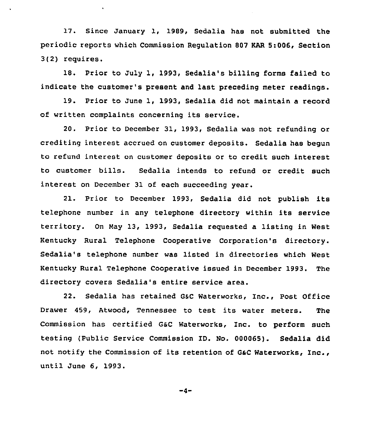17. Since January 1, 1989, Sedalia has not submitted the periodic reports which Commission Regulation 807 KAR 5:006, Section 3(2) requires.

18. Prior to July 1, 1993, Sedalia's billing forms failed to indicate the customer's present and last preceding meter readings.

19. Prior to June 1, 1993, Sedalia did not maintain a record of written complaints concerning its service.

20. Prior to December 31, 1993, Sedalia was not refunding or crediting interest accrued on customer deposits. Sedalia has begun to refund interest on customer deposits or to credit such interest to customer bills. Sedalia intends to refund or credit such interest on December 31 of each succeeding year.

21. Prior to December 1993, Sedalia did not publish its telephone number in any telephone directory within its service territory. On May 13, 1993, Sedalia requested a listing in West Kentucky Rural Telephone Cooperative Corporation's directory. Sedalia's telephone number was listed in directories which West Kentucky Rural Telephone Cooperative issued in December 1993. The directory covers Sedalia's entire service area.

22. Sedalia has retained GsC Waterworks, Inc., Post Office Drawer 459, Atwood, Tennessee to test its water meters. The Commission has certified GsC Waterworks, Inc. to perform such testing (Public Service Commission ID. No. 000065). Sedalia did not notify the Commission of its retention of G&C Waterworks, Inc., until June 6, 1993.

 $-4-$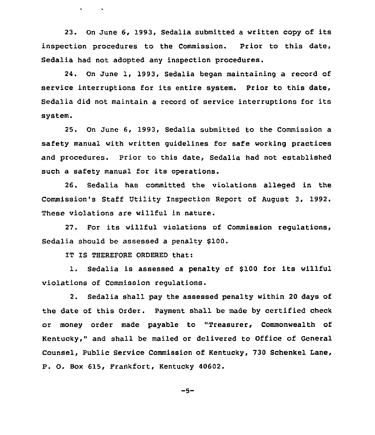23. On June 6, 1993, Sedalia submitted a written copy of its inspection procedures to the Commission. Prior to this date, Sedalia had not adopted any inspection procedures.

24. On June 1, 1993, Sedalia began maintaining a record of service interruptions for its entire system. Prior to this date, Sedalia did not maintain <sup>a</sup> record of service interruptions for its system.

25. On June 6, 1993, Sedalia submitted to the Commission a safety manual with written guidelines for safe working practices and procedures. Prior to this date, Sedalia had not established such a safety manual for its operations.

26. Bedelia has committed the violations alleged in the Commission's Staff Utility Inspection Report of August 3, 1992, These violations are willful in nature.

27. For its willful violations of Commission regulations, Sedalia should be assessed a penalty 5100.

IT IS THEREFORE ORDERED that:

 $\mathbf{v} = \mathbf{v} \cdot \mathbf{v}$  .

1. Sedalia is assessed a penalty of \$100 for its willful violations of Commission regulations.

2. Sedalia shall pay the assessed penalty within 20 days of the date of this Order. Payment shall be made by certified check or money order made payable to "Treasurer, Commonwealth of Kentucky," and shall be mailed or delivered to Office of General Counsel, Public Service Commission of Kentucky, 730 Schenkel Lane, P. O. Box 615, Frankfort, Kentucky 40602.

$$
-5-
$$